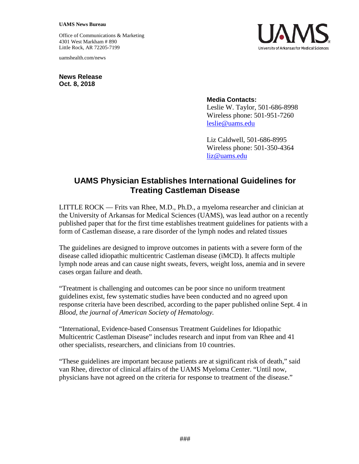## **UAMS News Bureau**

Office of Communications & Marketing 4301 West Markham # 890 Little Rock, AR 72205-7199

uamshealth.com/news

**News Release Oct. 8, 2018**

## **Media Contacts:**

Leslie W. Taylor, 501-686-8998 Wireless phone: 501-951-7260 [leslie@uams.edu](mailto:leslie@uams.edu)

Liz Caldwell, 501-686-8995 Wireless phone: 501-350-4364 [liz@uams.edu](mailto:liz@uams.edu)

## **UAMS Physician Establishes International Guidelines for Treating Castleman Disease**

LITTLE ROCK — Frits van Rhee, M.D., Ph.D., a myeloma researcher and clinician at the University of Arkansas for Medical Sciences (UAMS), was lead author on a recently published paper that for the first time establishes treatment guidelines for patients with a form of Castleman disease, a rare disorder of the lymph nodes and related tissues

The guidelines are designed to improve outcomes in patients with a severe form of the disease called idiopathic multicentric Castleman disease (iMCD). It affects multiple lymph node areas and can cause night sweats, fevers, weight loss, anemia and in severe cases organ failure and death.

"Treatment is challenging and outcomes can be poor since no uniform treatment guidelines exist, few systematic studies have been conducted and no agreed upon response criteria have been described, according to the paper published online Sept. 4 in *Blood, the journal of American Society of Hematology.*

"International, Evidence-based Consensus Treatment Guidelines for Idiopathic Multicentric Castleman Disease" includes research and input from van Rhee and 41 other specialists, researchers, and clinicians from 10 countries.

"These guidelines are important because patients are at significant risk of death," said van Rhee, director of clinical affairs of the UAMS Myeloma Center. "Until now, physicians have not agreed on the criteria for response to treatment of the disease."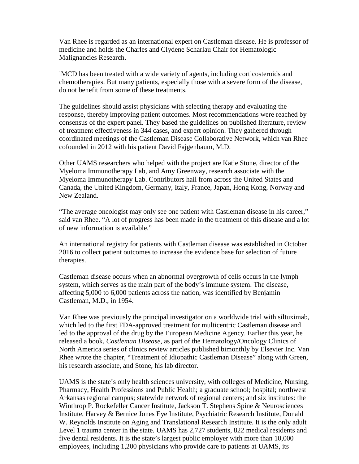Van Rhee is regarded as an international expert on Castleman disease. He is professor of medicine and holds the Charles and Clydene Scharlau Chair for Hematologic Malignancies Research.

iMCD has been treated with a wide variety of agents, including corticosteroids and chemotherapies. But many patients, especially those with a severe form of the disease, do not benefit from some of these treatments.

The guidelines should assist physicians with selecting therapy and evaluating the response, thereby improving patient outcomes. Most recommendations were reached by consensus of the expert panel. They based the guidelines on published literature, review of treatment effectiveness in 344 cases, and expert opinion. They gathered through coordinated meetings of the Castleman Disease Collaborative Network, which van Rhee cofounded in 2012 with his patient David Fajgenbaum, M.D.

Other UAMS researchers who helped with the project are Katie Stone, director of the Myeloma Immunotherapy Lab, and Amy Greenway, research associate with the Myeloma Immunotherapy Lab. Contributors hail from across the United States and Canada, the United Kingdom, Germany, Italy, France, Japan, Hong Kong, Norway and New Zealand.

"The average oncologist may only see one patient with Castleman disease in his career," said van Rhee. "A lot of progress has been made in the treatment of this disease and a lot of new information is available."

An international registry for patients with Castleman disease was established in October 2016 to collect patient outcomes to increase the evidence base for selection of future therapies.

Castleman disease occurs when an abnormal overgrowth of cells occurs in the lymph system, which serves as the main part of the body's immune system. The disease, affecting 5,000 to 6,000 patients across the nation, was identified by Benjamin Castleman, M.D., in 1954.

Van Rhee was previously the principal investigator on a worldwide trial with siltuximab, which led to the first FDA-approved treatment for multicentric Castleman disease and led to the approval of the drug by the European Medicine Agency. Earlier this year, he released a book, *Castleman Disease*, as part of the Hematology/Oncology Clinics of North America series of clinics review articles published bimonthly by Elsevier Inc. Van Rhee wrote the chapter, "Treatment of Idiopathic Castleman Disease" along with Green, his research associate, and Stone, his lab director.

UAMS is the state's only health sciences university, with colleges of Medicine, Nursing, Pharmacy, Health Professions and Public Health; a graduate school; hospital; northwest Arkansas regional campus; statewide network of regional centers; and six institutes: the Winthrop P. Rockefeller Cancer Institute, Jackson T. Stephens Spine & Neurosciences Institute, Harvey & Bernice Jones Eye Institute, Psychiatric Research Institute, Donald W. Reynolds Institute on Aging and Translational Research Institute. It is the only adult Level 1 trauma center in the state. UAMS has 2,727 students, 822 medical residents and five dental residents. It is the state's largest public employer with more than 10,000 employees, including 1,200 physicians who provide care to patients at UAMS, its